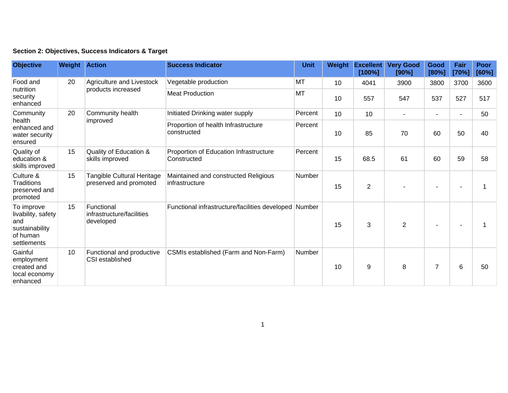|  | Section 2: Objectives, Success Indicators & Target |  |  |  |  |
|--|----------------------------------------------------|--|--|--|--|
|--|----------------------------------------------------|--|--|--|--|

| <b>Objective</b>                                                                     | <b>Weight Action</b> |                                                      | <b>Success Indicator</b>                               | <b>Unit</b> | Weight | <b>Excellent</b><br>[100%] | <b>Very Good</b><br>[90%] | Good<br>[80%]            | Fair<br>[70%]            | Poor<br>[60%] |
|--------------------------------------------------------------------------------------|----------------------|------------------------------------------------------|--------------------------------------------------------|-------------|--------|----------------------------|---------------------------|--------------------------|--------------------------|---------------|
| Food and<br>nutrition<br>security<br>enhanced                                        | 20                   | Agriculture and Livestock<br>products increased      | Vegetable production                                   | <b>MT</b>   | 10     | 4041                       | 3900                      | 3800                     | 3700                     | 3600          |
|                                                                                      |                      |                                                      | <b>Meat Production</b>                                 | <b>MT</b>   | 10     | 557                        | 547                       | 537                      | 527                      | 517           |
| Community<br>health<br>enhanced and<br>water security<br>ensured                     | 20                   | Community health<br>improved                         | Initiated Drinking water supply                        | Percent     | 10     | 10                         |                           | $\overline{\phantom{a}}$ | $\overline{\phantom{a}}$ | 50            |
|                                                                                      |                      |                                                      | Proportion of health Infrastructure<br>constructed     | Percent     | 10     | 85                         | 70                        | 60                       | 50                       | 40            |
| Quality of<br>education &<br>skills improved                                         | 15                   | Quality of Education &<br>skills improved            | Proportion of Education Infrastructure<br>Constructed  | Percent     | 15     | 68.5                       | 61                        | 60                       | 59                       | 58            |
| Culture &<br><b>Traditions</b><br>preserved and<br>promoted                          | 15                   | Tangible Cultural Heritage<br>preserved and promoted | Maintained and constructed Religious<br>infrastructure | Number      | 15     | $\overline{2}$             |                           |                          |                          |               |
| To improve<br>livability, safety<br>and<br>sustainability<br>of human<br>settlements | 15                   | Functional<br>infrastructure/facilities<br>developed | Functional infrastructure/facilities developed Number  |             | 15     | 3                          | $\overline{2}$            |                          |                          |               |
| Gainful<br>employment<br>created and<br>local economy<br>enhanced                    | 10                   | Functional and productive<br>CSI established         | CSMIs established (Farm and Non-Farm)                  | Number      | 10     | 9                          | 8                         | $\overline{7}$           | 6                        | 50            |